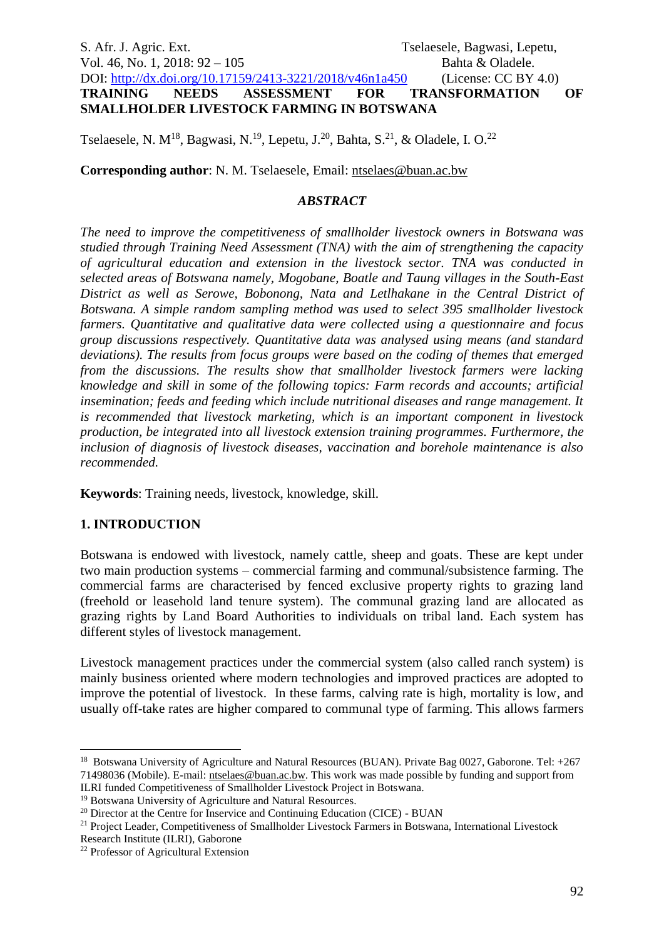# S. Afr. J. Agric. Ext. Tselaesele, Bagwasi, Lepetu, Vol. 46, No. 1, 2018:  $92 - 105$  Bahta & Oladele. DOI: <http://dx.doi.org/10.17159/2413-3221/2018/v46n1a450> (License: CC BY 4.0) **TRAINING NEEDS ASSESSMENT FOR TRANSFORMATION OF SMALLHOLDER LIVESTOCK FARMING IN BOTSWANA**

Tselaesele, N. M<sup>18</sup>, Bagwasi, N.<sup>19</sup>, Lepetu, J.<sup>20</sup>, Bahta, S.<sup>21</sup>, & Oladele, I. O.<sup>22</sup>

**Corresponding author**: N. M. Tselaesele, Email: [ntselaes@buan.ac.bw](mailto:ntselaes@buan.ac.bw)

## *ABSTRACT*

*The need to improve the competitiveness of smallholder livestock owners in Botswana was studied through Training Need Assessment (TNA) with the aim of strengthening the capacity of agricultural education and extension in the livestock sector. TNA was conducted in selected areas of Botswana namely, Mogobane, Boatle and Taung villages in the South-East District as well as Serowe, Bobonong, Nata and Letlhakane in the Central District of Botswana. A simple random sampling method was used to select 395 smallholder livestock farmers. Quantitative and qualitative data were collected using a questionnaire and focus group discussions respectively. Quantitative data was analysed using means (and standard deviations). The results from focus groups were based on the coding of themes that emerged from the discussions. The results show that smallholder livestock farmers were lacking knowledge and skill in some of the following topics: Farm records and accounts; artificial insemination; feeds and feeding which include nutritional diseases and range management. It is recommended that livestock marketing, which is an important component in livestock production, be integrated into all livestock extension training programmes. Furthermore, the inclusion of diagnosis of livestock diseases, vaccination and borehole maintenance is also recommended.* 

**Keywords**: Training needs, livestock, knowledge, skill.

## **1. INTRODUCTION**

Botswana is endowed with livestock, namely cattle, sheep and goats. These are kept under two main production systems – commercial farming and communal/subsistence farming. The commercial farms are characterised by fenced exclusive property rights to grazing land (freehold or leasehold land tenure system). The communal grazing land are allocated as grazing rights by Land Board Authorities to individuals on tribal land. Each system has different styles of livestock management.

Livestock management practices under the commercial system (also called ranch system) is mainly business oriented where modern technologies and improved practices are adopted to improve the potential of livestock. In these farms, calving rate is high, mortality is low, and usually off-take rates are higher compared to communal type of farming. This allows farmers

1

<sup>&</sup>lt;sup>18</sup> Botswana University of Agriculture and Natural Resources (BUAN). Private Bag 0027, Gaborone. Tel: +267 71498036 (Mobile). E-mail: [ntselaes@buan.ac.bw.](mailto:ntselaes@buan.ac.bw) This work was made possible by funding and support from

ILRI funded Competitiveness of Smallholder Livestock Project in Botswana.

<sup>19</sup> Botswana University of Agriculture and Natural Resources.

 $20$  Director at the Centre for Inservice and Continuing Education (CICE) - BUAN

<sup>&</sup>lt;sup>21</sup> Project Leader, Competitiveness of Smallholder Livestock Farmers in Botswana, International Livestock Research Institute (ILRI), Gaborone

<sup>22</sup> Professor of Agricultural Extension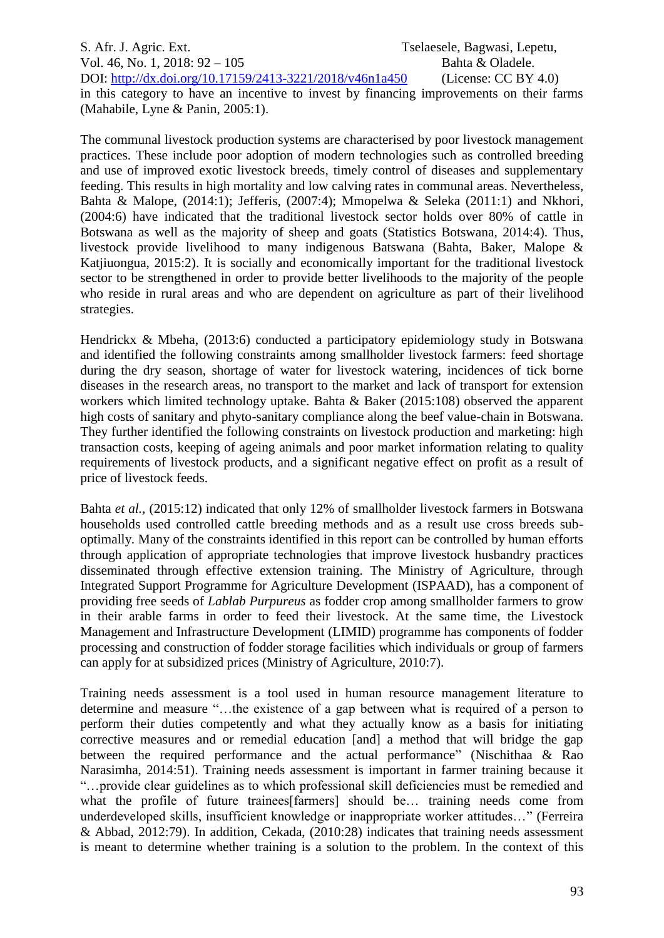S. Afr. J. Agric. Ext. Tselaesele, Bagwasi, Lepetu, Vol. 46, No. 1, 2018: 92 – 105 Bahta & Oladele. DOI: <http://dx.doi.org/10.17159/2413-3221/2018/v46n1a450> (License: CC BY 4.0) in this category to have an incentive to invest by financing improvements on their farms (Mahabile, Lyne & Panin, 2005:1).

The communal livestock production systems are characterised by poor livestock management practices. These include poor adoption of modern technologies such as controlled breeding and use of improved exotic livestock breeds, timely control of diseases and supplementary feeding. This results in high mortality and low calving rates in communal areas. Nevertheless, Bahta & Malope, (2014:1); Jefferis, (2007:4); Mmopelwa & Seleka (2011:1) and Nkhori, (2004:6) have indicated that the traditional livestock sector holds over 80% of cattle in Botswana as well as the majority of sheep and goats (Statistics Botswana, 2014:4). Thus, livestock provide livelihood to many indigenous Batswana (Bahta, Baker, Malope & Katjiuongua, 2015:2). It is socially and economically important for the traditional livestock sector to be strengthened in order to provide better livelihoods to the majority of the people who reside in rural areas and who are dependent on agriculture as part of their livelihood strategies.

Hendrickx & Mbeha, (2013:6) conducted a participatory epidemiology study in Botswana and identified the following constraints among smallholder livestock farmers: feed shortage during the dry season, shortage of water for livestock watering, incidences of tick borne diseases in the research areas, no transport to the market and lack of transport for extension workers which limited technology uptake. Bahta & Baker (2015:108) observed the apparent high costs of sanitary and phyto-sanitary compliance along the beef value-chain in Botswana. They further identified the following constraints on livestock production and marketing: high transaction costs, keeping of ageing animals and poor market information relating to quality requirements of livestock products, and a significant negative effect on profit as a result of price of livestock feeds.

Bahta *et al.*, (2015:12) indicated that only 12% of smallholder livestock farmers in Botswana households used controlled cattle breeding methods and as a result use cross breeds suboptimally. Many of the constraints identified in this report can be controlled by human efforts through application of appropriate technologies that improve livestock husbandry practices disseminated through effective extension training. The Ministry of Agriculture, through Integrated Support Programme for Agriculture Development (ISPAAD), has a component of providing free seeds of *Lablab Purpureus* as fodder crop among smallholder farmers to grow in their arable farms in order to feed their livestock. At the same time, the Livestock Management and Infrastructure Development (LIMID) programme has components of fodder processing and construction of fodder storage facilities which individuals or group of farmers can apply for at subsidized prices (Ministry of Agriculture, 2010:7).

Training needs assessment is a tool used in human resource management literature to determine and measure "…the existence of a gap between what is required of a person to perform their duties competently and what they actually know as a basis for initiating corrective measures and or remedial education [and] a method that will bridge the gap between the required performance and the actual performance" (Nischithaa & Rao Narasimha, 2014:51). Training needs assessment is important in farmer training because it "…provide clear guidelines as to which professional skill deficiencies must be remedied and what the profile of future trainees[farmers] should be... training needs come from underdeveloped skills, insufficient knowledge or inappropriate worker attitudes…" (Ferreira & Abbad, 2012:79). In addition, Cekada, (2010:28) indicates that training needs assessment is meant to determine whether training is a solution to the problem. In the context of this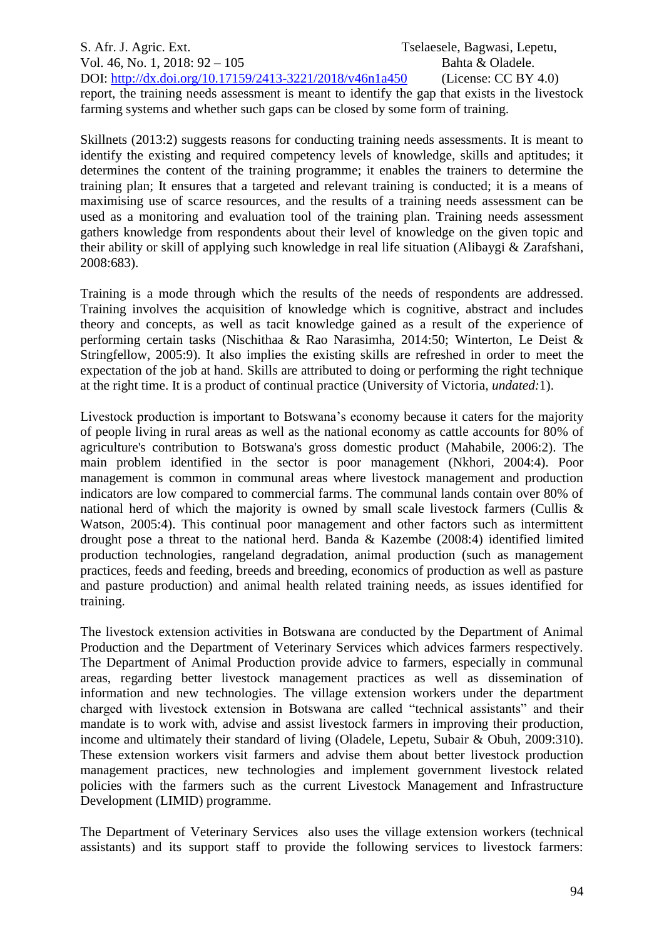S. Afr. J. Agric. Ext. Tselaesele, Bagwasi, Lepetu, Vol. 46, No. 1, 2018: 92 – 105 Bahta & Oladele. DOI: <http://dx.doi.org/10.17159/2413-3221/2018/v46n1a450> (License: CC BY 4.0) report, the training needs assessment is meant to identify the gap that exists in the livestock farming systems and whether such gaps can be closed by some form of training.

Skillnets (2013:2) suggests reasons for conducting training needs assessments. It is meant to identify the existing and required competency levels of knowledge, skills and aptitudes; it determines the content of the training programme; it enables the trainers to determine the training plan; It ensures that a targeted and relevant training is conducted; it is a means of maximising use of scarce resources, and the results of a training needs assessment can be used as a monitoring and evaluation tool of the training plan. Training needs assessment gathers knowledge from respondents about their level of knowledge on the given topic and their ability or skill of applying such knowledge in real life situation (Alibaygi & Zarafshani, 2008:683).

Training is a mode through which the results of the needs of respondents are addressed. Training involves the acquisition of knowledge which is cognitive, abstract and includes theory and concepts, as well as tacit knowledge gained as a result of the experience of performing certain tasks (Nischithaa & Rao Narasimha, 2014:50; Winterton, Le Deist & Stringfellow, 2005:9). It also implies the existing skills are refreshed in order to meet the expectation of the job at hand. Skills are attributed to doing or performing the right technique at the right time. It is a product of continual practice (University of Victoria, *undated:*1).

Livestock production is important to Botswana's economy because it caters for the majority of people living in rural areas as well as the national economy as cattle accounts for 80% of agriculture's contribution to Botswana's gross domestic product (Mahabile, 2006:2). The main problem identified in the sector is poor management (Nkhori, 2004:4). Poor management is common in communal areas where livestock management and production indicators are low compared to commercial farms. The communal lands contain over 80% of national herd of which the majority is owned by small scale livestock farmers (Cullis & Watson, 2005:4). This continual poor management and other factors such as intermittent drought pose a threat to the national herd. Banda & Kazembe (2008:4) identified limited production technologies, rangeland degradation, animal production (such as management practices, feeds and feeding, breeds and breeding, economics of production as well as pasture and pasture production) and animal health related training needs, as issues identified for training.

The livestock extension activities in Botswana are conducted by the Department of Animal Production and the Department of Veterinary Services which advices farmers respectively. The Department of Animal Production provide advice to farmers, especially in communal areas, regarding better livestock management practices as well as dissemination of information and new technologies. The village extension workers under the department charged with livestock extension in Botswana are called "technical assistants" and their mandate is to work with, advise and assist livestock farmers in improving their production, income and ultimately their standard of living (Oladele, Lepetu, Subair & Obuh, 2009:310). These extension workers visit farmers and advise them about better livestock production management practices, new technologies and implement government livestock related policies with the farmers such as the current Livestock Management and Infrastructure Development (LIMID) programme.

The Department of Veterinary Services also uses the village extension workers (technical assistants) and its support staff to provide the following services to livestock farmers: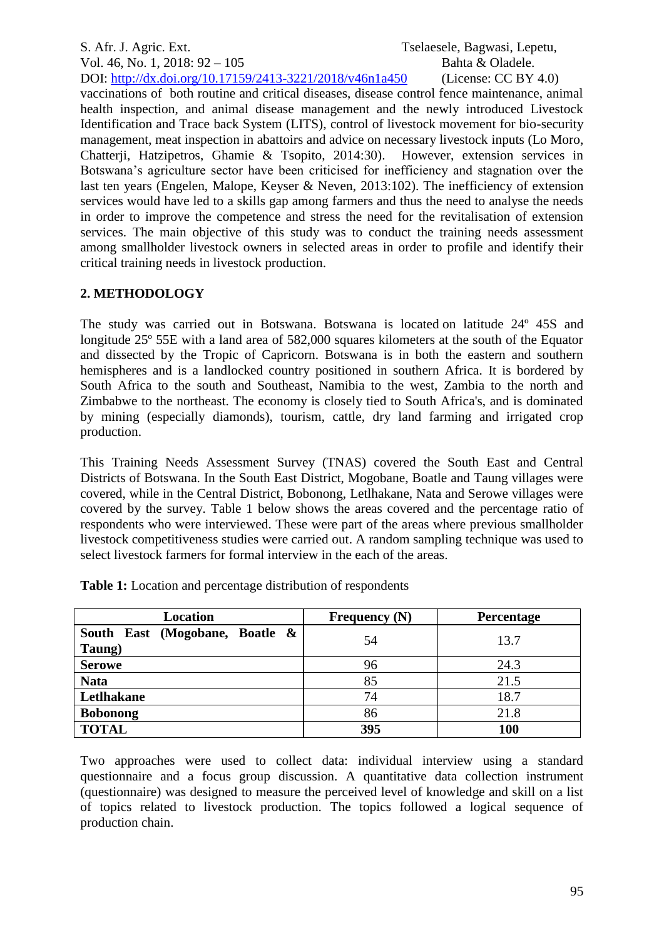S. Afr. J. Agric. Ext. Tselaesele, Bagwasi, Lepetu, Vol. 46, No. 1, 2018: 92 – 105 Bahta & Oladele. DOI: <http://dx.doi.org/10.17159/2413-3221/2018/v46n1a450> (License: CC BY 4.0) vaccinations of both routine and critical diseases, disease control fence maintenance, animal health inspection, and animal disease management and the newly introduced Livestock Identification and Trace back System (LITS), control of livestock movement for bio-security management, meat inspection in abattoirs and advice on necessary livestock inputs (Lo Moro, Chatterji, Hatzipetros, Ghamie & Tsopito, 2014:30). However, extension services in Botswana's agriculture sector have been criticised for inefficiency and stagnation over the last ten years (Engelen, Malope, Keyser & Neven, 2013:102). The inefficiency of extension services would have led to a skills gap among farmers and thus the need to analyse the needs in order to improve the competence and stress the need for the revitalisation of extension services. The main objective of this study was to conduct the training needs assessment among smallholder livestock owners in selected areas in order to profile and identify their critical training needs in livestock production.

# **2. METHODOLOGY**

The study was carried out in Botswana. Botswana is located on latitude 24º 45S and longitude 25º 55E with a land area of 582,000 squares kilometers at the south of the Equator and dissected by the Tropic of Capricorn. Botswana is in both the eastern and southern hemispheres and is a landlocked country positioned in southern Africa. It is bordered by South Africa to the south and Southeast, Namibia to the west, Zambia to the north and Zimbabwe to the northeast. The economy is closely tied to South Africa's, and is dominated by mining (especially diamonds), tourism, cattle, dry land farming and irrigated crop production.

This Training Needs Assessment Survey (TNAS) covered the South East and Central Districts of Botswana. In the South East District, Mogobane, Boatle and Taung villages were covered, while in the Central District, Bobonong, Letlhakane, Nata and Serowe villages were covered by the survey. Table 1 below shows the areas covered and the percentage ratio of respondents who were interviewed. These were part of the areas where previous smallholder livestock competitiveness studies were carried out. A random sampling technique was used to select livestock farmers for formal interview in the each of the areas.

| <b>Location</b>                          | Frequency $(N)$ | <b>Percentage</b> |
|------------------------------------------|-----------------|-------------------|
| South East (Mogobane, Boatle &<br>Taung) | 54              | 13.7              |
| <b>Serowe</b>                            | 96              | 24.3              |
| <b>Nata</b>                              | 85              | 21.5              |
| Letlhakane                               | 74              | 18.7              |
| <b>Bobonong</b>                          | 86              | 21.8              |
| <b>TOTAL</b>                             | 395             | 100               |

**Table 1:** Location and percentage distribution of respondents

Two approaches were used to collect data: individual interview using a standard questionnaire and a focus group discussion. A quantitative data collection instrument (questionnaire) was designed to measure the perceived level of knowledge and skill on a list of topics related to livestock production. The topics followed a logical sequence of production chain.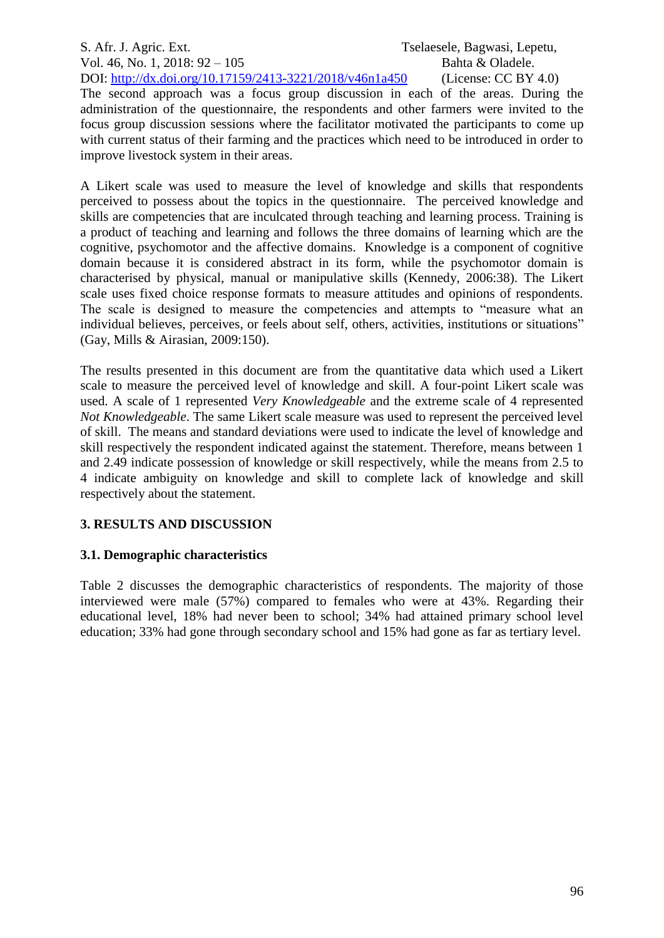S. Afr. J. Agric. Ext. Tselaesele, Bagwasi, Lepetu, Vol. 46, No. 1, 2018: 92 – 105 Bahta & Oladele. DOI: <http://dx.doi.org/10.17159/2413-3221/2018/v46n1a450> (License: CC BY 4.0) The second approach was a focus group discussion in each of the areas. During the administration of the questionnaire, the respondents and other farmers were invited to the focus group discussion sessions where the facilitator motivated the participants to come up with current status of their farming and the practices which need to be introduced in order to improve livestock system in their areas.

A Likert scale was used to measure the level of knowledge and skills that respondents perceived to possess about the topics in the questionnaire. The perceived knowledge and skills are competencies that are inculcated through teaching and learning process. Training is a product of teaching and learning and follows the three domains of learning which are the cognitive, psychomotor and the affective domains. Knowledge is a component of cognitive domain because it is considered abstract in its form, while the psychomotor domain is characterised by physical, manual or manipulative skills (Kennedy, 2006:38). The Likert scale uses fixed choice response formats to measure attitudes and opinions of respondents. The scale is designed to measure the competencies and attempts to "measure what an individual believes, perceives, or feels about self, others, activities, institutions or situations" (Gay, Mills & Airasian, 2009:150).

The results presented in this document are from the quantitative data which used a Likert scale to measure the perceived level of knowledge and skill. A four-point Likert scale was used. A scale of 1 represented *Very Knowledgeable* and the extreme scale of 4 represented *Not Knowledgeable*. The same Likert scale measure was used to represent the perceived level of skill. The means and standard deviations were used to indicate the level of knowledge and skill respectively the respondent indicated against the statement. Therefore, means between 1 and 2.49 indicate possession of knowledge or skill respectively, while the means from 2.5 to 4 indicate ambiguity on knowledge and skill to complete lack of knowledge and skill respectively about the statement.

# **3. RESULTS AND DISCUSSION**

## **3.1. Demographic characteristics**

Table 2 discusses the demographic characteristics of respondents. The majority of those interviewed were male (57%) compared to females who were at 43%. Regarding their educational level, 18% had never been to school; 34% had attained primary school level education; 33% had gone through secondary school and 15% had gone as far as tertiary level.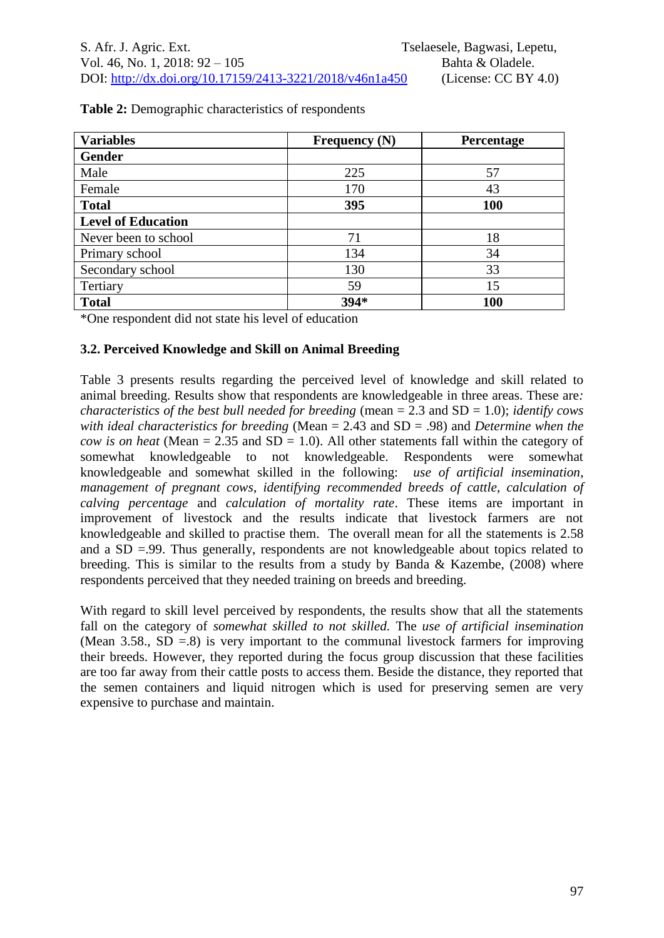| <b>Variables</b>          | Frequency $(N)$ | Percentage |
|---------------------------|-----------------|------------|
| <b>Gender</b>             |                 |            |
| Male                      | 225             | 57         |
| Female                    | 170             | 43         |
| <b>Total</b>              | 395             | <b>100</b> |
| <b>Level of Education</b> |                 |            |
| Never been to school      | 71              | 18         |
| Primary school            | 134             | 34         |
| Secondary school          | 130             | 33         |
| Tertiary                  | 59              | 15         |
| <b>Total</b>              | 394*            | 100        |

#### **Table 2:** Demographic characteristics of respondents

\*One respondent did not state his level of education

#### **3.2. Perceived Knowledge and Skill on Animal Breeding**

Table 3 presents results regarding the perceived level of knowledge and skill related to animal breeding. Results show that respondents are knowledgeable in three areas. These are*: characteristics of the best bull needed for breeding* (mean = 2.3 and SD = 1.0); *identify cows with ideal characteristics for breeding* (Mean = 2.43 and SD = .98) and *Determine when the cow is on heat* (Mean  $= 2.35$  and  $SD = 1.0$ ). All other statements fall within the category of somewhat knowledgeable to not knowledgeable. Respondents were somewhat knowledgeable and somewhat skilled in the following: *use of artificial insemination*, *management of pregnant cows*, *identifying recommended breeds of cattle*, *calculation of calving percentage* and *calculation of mortality rate*. These items are important in improvement of livestock and the results indicate that livestock farmers are not knowledgeable and skilled to practise them. The overall mean for all the statements is 2.58 and a SD =.99. Thus generally, respondents are not knowledgeable about topics related to breeding. This is similar to the results from a study by Banda & Kazembe, (2008) where respondents perceived that they needed training on breeds and breeding.

With regard to skill level perceived by respondents, the results show that all the statements fall on the category of *somewhat skilled to not skilled.* The *use of artificial insemination* (Mean 3.58., SD  $= 0.8$ ) is very important to the communal livestock farmers for improving their breeds. However, they reported during the focus group discussion that these facilities are too far away from their cattle posts to access them. Beside the distance, they reported that the semen containers and liquid nitrogen which is used for preserving semen are very expensive to purchase and maintain.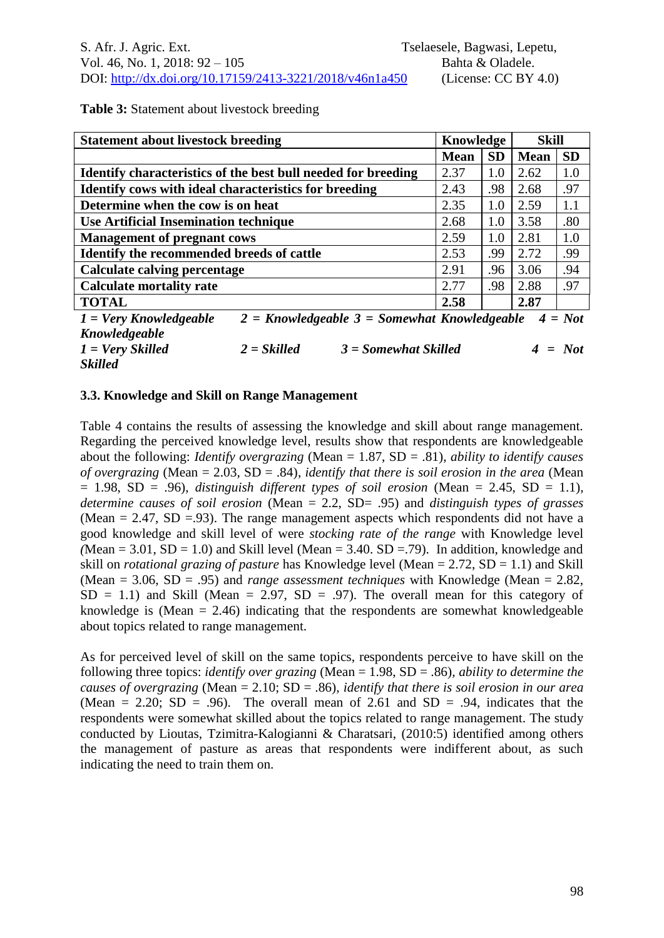**Table 3:** Statement about livestock breeding

| <b>Statement about livestock breeding</b>                                        |             | Knowledge | <b>Skill</b> |           |
|----------------------------------------------------------------------------------|-------------|-----------|--------------|-----------|
|                                                                                  | <b>Mean</b> | <b>SD</b> | <b>Mean</b>  | <b>SD</b> |
| Identify characteristics of the best bull needed for breeding                    | 2.37        | 1.0       | 2.62         | 1.0       |
| <b>Identify cows with ideal characteristics for breeding</b>                     | 2.43        | .98       | 2.68         | .97       |
| Determine when the cow is on heat                                                | 2.35        | 1.0       | 2.59         | 1.1       |
| Use Artificial Insemination technique                                            | 2.68        | 1.0       | 3.58         | .80       |
| <b>Management of pregnant cows</b>                                               | 2.59        | 1.0       | 2.81         | 1.0       |
| Identify the recommended breeds of cattle                                        | 2.53        | .99       | 2.72         | .99       |
| Calculate calving percentage                                                     | 2.91        | .96       | 3.06         | .94       |
| <b>Calculate mortality rate</b>                                                  | 2.77        | .98       | 2.88         | .97       |
| <b>TOTAL</b>                                                                     | 2.58        |           | 2.87         |           |
| $2$ = Knowledgeable 3 = Somewhat Knowledgeable<br>$1 = \n    Very Knowledgeable$ |             |           |              | $4 = Not$ |
| Knowledgeable                                                                    |             |           |              |           |
| $1 = Very$ Skilled<br>$2 = Skilled$<br>$3 = Somewhat$ Skilled                    |             |           |              | $=$ Not   |
| <b>Skilled</b>                                                                   |             |           |              |           |

### **3.3. Knowledge and Skill on Range Management**

Table 4 contains the results of assessing the knowledge and skill about range management. Regarding the perceived knowledge level, results show that respondents are knowledgeable about the following: *Identify overgrazing* (Mean = 1.87, SD = .81), *ability to identify causes of overgrazing* (Mean = 2.03, SD = .84), *identify that there is soil erosion in the area* (Mean  $= 1.98$ , SD  $= .96$ ), *distinguish different types of soil erosion* (Mean  $= 2.45$ , SD  $= 1.1$ ), *determine causes of soil erosion* (Mean = 2.2, SD= .95) and *distinguish types of grasses* (Mean  $= 2.47$ , SD  $= .93$ ). The range management aspects which respondents did not have a good knowledge and skill level of were *stocking rate of the range* with Knowledge level  $(Mean = 3.01, SD = 1.0)$  and Skill level  $(Mean = 3.40, SD = .79)$ . In addition, knowledge and skill on *rotational grazing of pasture* has Knowledge level (Mean = 2.72, SD = 1.1) and Skill (Mean  $= 3.06$ , SD  $= .95$ ) and *range assessment techniques* with Knowledge (Mean  $= 2.82$ ,  $SD = 1.1$ ) and Skill (Mean = 2.97,  $SD = .97$ ). The overall mean for this category of knowledge is (Mean  $= 2.46$ ) indicating that the respondents are somewhat knowledgeable about topics related to range management.

As for perceived level of skill on the same topics, respondents perceive to have skill on the following three topics: *identify over grazing* (Mean = 1.98, SD = .86)*, ability to determine the causes of overgrazing* (Mean = 2.10; SD = .86)*, identify that there is soil erosion in our area* (Mean = 2.20; SD = .96). The overall mean of 2.61 and SD = .94, indicates that the respondents were somewhat skilled about the topics related to range management. The study conducted by Lioutas, Tzimitra-Kalogianni & Charatsari, (2010:5) identified among others the management of pasture as areas that respondents were indifferent about, as such indicating the need to train them on.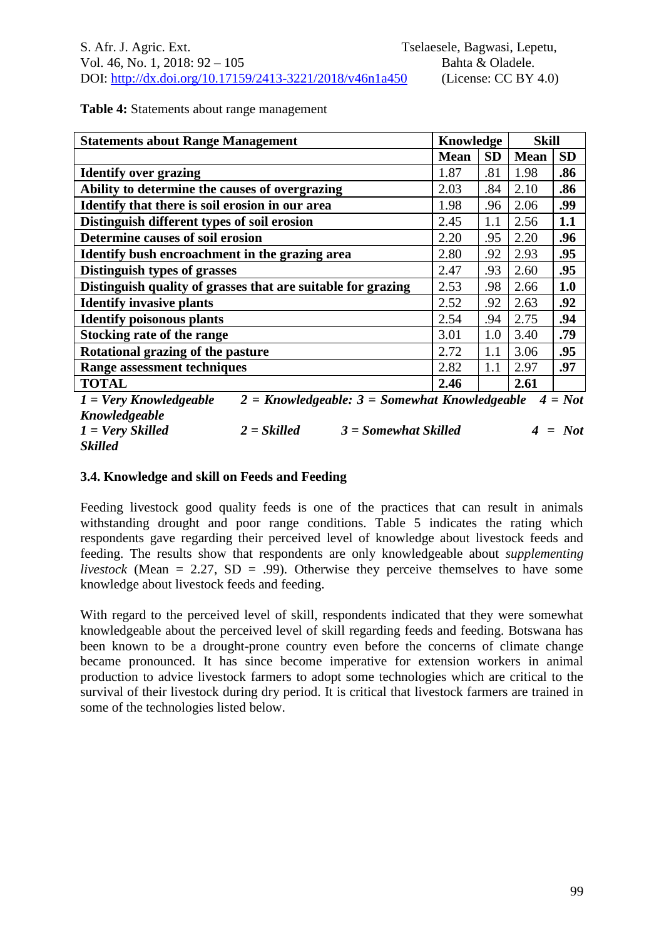| <b>Statements about Range Management</b>                                                                                                                                                                                                                                                                                                                                                                                                                                                                                           |             | Knowledge |             | <b>Skill</b> |
|------------------------------------------------------------------------------------------------------------------------------------------------------------------------------------------------------------------------------------------------------------------------------------------------------------------------------------------------------------------------------------------------------------------------------------------------------------------------------------------------------------------------------------|-------------|-----------|-------------|--------------|
|                                                                                                                                                                                                                                                                                                                                                                                                                                                                                                                                    | <b>Mean</b> | <b>SD</b> | <b>Mean</b> | <b>SD</b>    |
| <b>Identify over grazing</b>                                                                                                                                                                                                                                                                                                                                                                                                                                                                                                       | 1.87        | .81       | 1.98        | .86          |
| Ability to determine the causes of overgrazing                                                                                                                                                                                                                                                                                                                                                                                                                                                                                     | 2.03        | .84       | 2.10        | .86          |
| Identify that there is soil erosion in our area                                                                                                                                                                                                                                                                                                                                                                                                                                                                                    | 1.98        | .96       | 2.06        | .99          |
| Distinguish different types of soil erosion                                                                                                                                                                                                                                                                                                                                                                                                                                                                                        | 2.45        | 1.1       | 2.56        | 1.1          |
| Determine causes of soil erosion                                                                                                                                                                                                                                                                                                                                                                                                                                                                                                   | 2.20        | .95       | 2.20        | .96          |
| Identify bush encroachment in the grazing area                                                                                                                                                                                                                                                                                                                                                                                                                                                                                     | 2.80        | .92       | 2.93        | .95          |
| Distinguish types of grasses                                                                                                                                                                                                                                                                                                                                                                                                                                                                                                       | 2.47        | .93       | 2.60        | .95          |
| Distinguish quality of grasses that are suitable for grazing                                                                                                                                                                                                                                                                                                                                                                                                                                                                       | 2.53        | .98       | 2.66        | 1.0          |
| <b>Identify invasive plants</b>                                                                                                                                                                                                                                                                                                                                                                                                                                                                                                    | 2.52        | .92       | 2.63        | .92          |
| <b>Identify poisonous plants</b>                                                                                                                                                                                                                                                                                                                                                                                                                                                                                                   | 2.54        | .94       | 2.75        | .94          |
| <b>Stocking rate of the range</b>                                                                                                                                                                                                                                                                                                                                                                                                                                                                                                  | 3.01        | 1.0       | 3.40        | .79          |
| Rotational grazing of the pasture                                                                                                                                                                                                                                                                                                                                                                                                                                                                                                  | 2.72        | 1.1       | 3.06        | .95          |
| Range assessment techniques                                                                                                                                                                                                                                                                                                                                                                                                                                                                                                        | 2.82        | 1.1       | 2.97        | .97          |
| <b>TOTAL</b>                                                                                                                                                                                                                                                                                                                                                                                                                                                                                                                       | 2.46        |           | 2.61        |              |
| $2 =$ Knowledgeable: $3 =$ Somewhat Knowledgeable<br>$1 = \nVert$ Very Knowledgeable                                                                                                                                                                                                                                                                                                                                                                                                                                               |             |           |             | $4 = Not$    |
| Knowledgeable                                                                                                                                                                                                                                                                                                                                                                                                                                                                                                                      |             |           |             |              |
| $1 = \nVert \text{V} \cdot \text{V} \cdot \text{V} \cdot \text{V} \cdot \text{V} \cdot \text{V} \cdot \text{V} \cdot \text{V} \cdot \text{V} \cdot \text{V} \cdot \text{V} \cdot \text{V} \cdot \text{V} \cdot \text{V} \cdot \text{V} \cdot \text{V} \cdot \text{V} \cdot \text{V} \cdot \text{V} \cdot \text{V} \cdot \text{V} \cdot \text{V} \cdot \text{V} \cdot \text{V} \cdot \text{V} \cdot \text{V} \cdot \text{V} \cdot \text{V} \cdot \text{V} \cdot \text{V} \cdot \text{V}$<br>$2 = Skilled$<br>$3 = Somewhat$ Skilled |             |           |             | $4 = Not$    |
| <b>Skilled</b>                                                                                                                                                                                                                                                                                                                                                                                                                                                                                                                     |             |           |             |              |

**Table 4:** Statements about range management

#### **3.4. Knowledge and skill on Feeds and Feeding**

Feeding livestock good quality feeds is one of the practices that can result in animals withstanding drought and poor range conditions. Table 5 indicates the rating which respondents gave regarding their perceived level of knowledge about livestock feeds and feeding. The results show that respondents are only knowledgeable about *supplementing livestock* (Mean =  $2.27$ , SD = .99). Otherwise they perceive themselves to have some knowledge about livestock feeds and feeding.

With regard to the perceived level of skill, respondents indicated that they were somewhat knowledgeable about the perceived level of skill regarding feeds and feeding. Botswana has been known to be a drought-prone country even before the concerns of climate change became pronounced. It has since become imperative for extension workers in animal production to advice livestock farmers to adopt some technologies which are critical to the survival of their livestock during dry period. It is critical that livestock farmers are trained in some of the technologies listed below.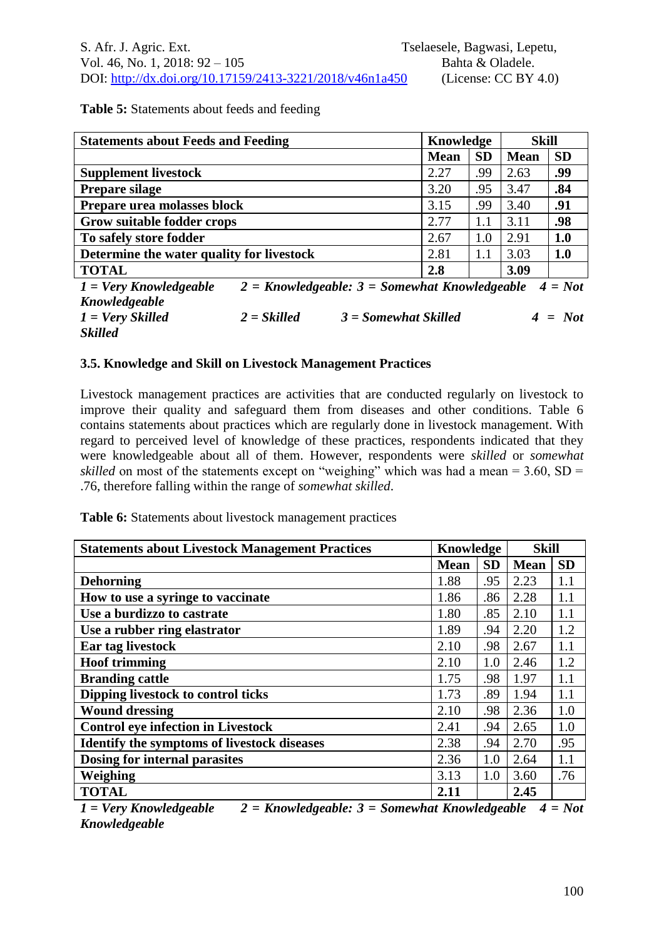| <b>Statements about Feeds and Feeding</b> |               | Knowledge                                         |             | <b>Skill</b> |             |           |
|-------------------------------------------|---------------|---------------------------------------------------|-------------|--------------|-------------|-----------|
|                                           |               |                                                   | <b>Mean</b> | <b>SD</b>    | <b>Mean</b> | <b>SD</b> |
| <b>Supplement livestock</b>               |               |                                                   | 2.27        | .99          | 2.63        | .99       |
| <b>Prepare silage</b>                     |               |                                                   | 3.20        | .95          | 3.47        | .84       |
| Prepare urea molasses block               |               |                                                   | 3.15        | .99          | 3.40        | .91       |
| Grow suitable fodder crops                |               |                                                   | 2.77        | 1.1          | 3.11        | .98       |
| To safely store fodder                    |               |                                                   | 2.67        | 1.0          | 2.91        | 1.0       |
| Determine the water quality for livestock |               |                                                   | 2.81        | 1.1          | 3.03        | 1.0       |
| <b>TOTAL</b>                              |               |                                                   | 2.8         |              | 3.09        |           |
| $1 = \n    Very Knowledgeable$            |               | $2 =$ Knowledgeable: $3 =$ Somewhat Knowledgeable |             |              |             | $4 = Not$ |
| Knowledgeable                             |               |                                                   |             |              |             |           |
| $1 = \text{Very Skilled}$                 | $2 = Skilled$ | $3 = Somewhat$ Skilled                            |             |              |             | $=$ Not   |

**Table 5:** Statements about feeds and feeding

*Skilled*

#### **3.5. Knowledge and Skill on Livestock Management Practices**

Livestock management practices are activities that are conducted regularly on livestock to improve their quality and safeguard them from diseases and other conditions. Table 6 contains statements about practices which are regularly done in livestock management. With regard to perceived level of knowledge of these practices, respondents indicated that they were knowledgeable about all of them. However, respondents were *skilled* or *somewhat skilled* on most of the statements except on "weighing" which was had a mean =  $3.60$ , SD = .76, therefore falling within the range of *somewhat skilled*.

**Table 6:** Statements about livestock management practices

| <b>Statements about Livestock Management Practices</b> | Knowledge   |           |             | <b>Skill</b> |  |
|--------------------------------------------------------|-------------|-----------|-------------|--------------|--|
|                                                        | <b>Mean</b> | <b>SD</b> | <b>Mean</b> | <b>SD</b>    |  |
| <b>Dehorning</b>                                       | 1.88        | .95       | 2.23        | 1.1          |  |
| How to use a syringe to vaccinate                      | 1.86        | .86       | 2.28        | 1.1          |  |
| Use a burdizzo to castrate                             | 1.80        | .85       | 2.10        | 1.1          |  |
| Use a rubber ring elastrator                           | 1.89        | .94       | 2.20        | 1.2          |  |
| Ear tag livestock                                      | 2.10        | .98       | 2.67        | 1.1          |  |
| <b>Hoof trimming</b>                                   | 2.10        | 1.0       | 2.46        | 1.2          |  |
| <b>Branding cattle</b>                                 | 1.75        | .98       | 1.97        | 1.1          |  |
| Dipping livestock to control ticks                     | 1.73        | .89       | 1.94        | 1.1          |  |
| <b>Wound dressing</b>                                  | 2.10        | .98       | 2.36        | 1.0          |  |
| <b>Control eye infection in Livestock</b>              | 2.41        | .94       | 2.65        | 1.0          |  |
| <b>Identify the symptoms of livestock diseases</b>     | 2.38        | .94       | 2.70        | .95          |  |
| <b>Dosing for internal parasites</b>                   | 2.36        | 1.0       | 2.64        | 1.1          |  |
| Weighing                                               | 3.13        | 1.0       | 3.60        | .76          |  |
| <b>TOTAL</b>                                           | 2.11        |           | 2.45        |              |  |

*1 = Very Knowledgeable 2 = Knowledgeable: 3 = Somewhat Knowledgeable 4 = Not Knowledgeable*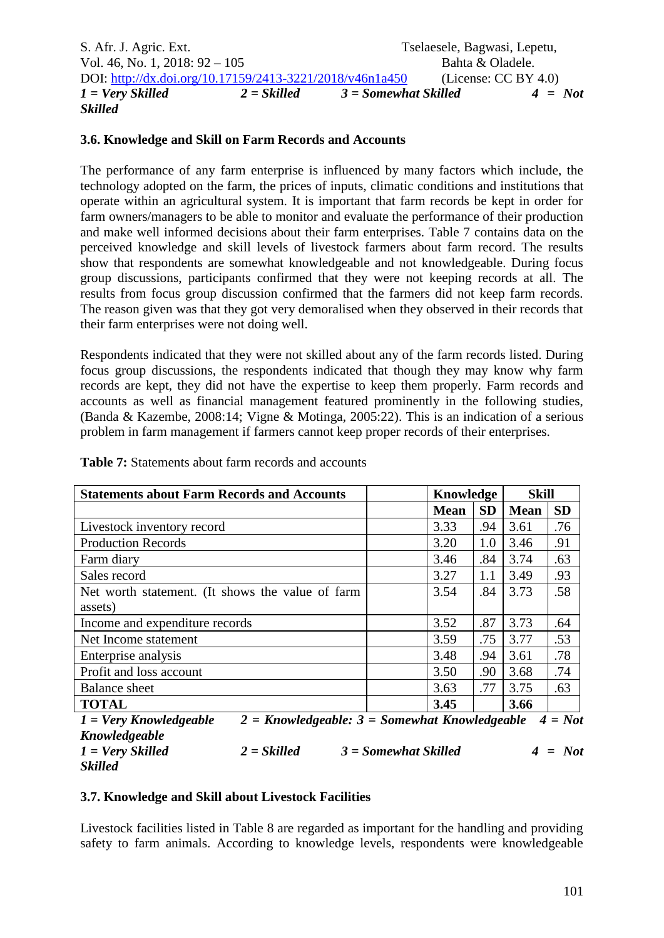S. Afr. J. Agric. Ext. Tselaesele, Bagwasi, Lepetu, Vol. 46, No. 1, 2018: 92 – 105 Bahta & Oladele. DOI: <http://dx.doi.org/10.17159/2413-3221/2018/v46n1a450> (License: CC BY 4.0) *1 = Very Skilled 2 = Skilled 3 = Somewhat Skilled 4 = Not Skilled*

## **3.6. Knowledge and Skill on Farm Records and Accounts**

The performance of any farm enterprise is influenced by many factors which include, the technology adopted on the farm, the prices of inputs, climatic conditions and institutions that operate within an agricultural system. It is important that farm records be kept in order for farm owners/managers to be able to monitor and evaluate the performance of their production and make well informed decisions about their farm enterprises. Table 7 contains data on the perceived knowledge and skill levels of livestock farmers about farm record. The results show that respondents are somewhat knowledgeable and not knowledgeable. During focus group discussions, participants confirmed that they were not keeping records at all. The results from focus group discussion confirmed that the farmers did not keep farm records. The reason given was that they got very demoralised when they observed in their records that their farm enterprises were not doing well.

Respondents indicated that they were not skilled about any of the farm records listed. During focus group discussions, the respondents indicated that though they may know why farm records are kept, they did not have the expertise to keep them properly. Farm records and accounts as well as financial management featured prominently in the following studies, (Banda & Kazembe, 2008:14; Vigne & Motinga, 2005:22). This is an indication of a serious problem in farm management if farmers cannot keep proper records of their enterprises.

| <b>Statements about Farm Records and Accounts</b>                                                |  | Knowledge   |           | <b>Skill</b> |           |
|--------------------------------------------------------------------------------------------------|--|-------------|-----------|--------------|-----------|
|                                                                                                  |  | <b>Mean</b> | <b>SD</b> | <b>Mean</b>  | <b>SD</b> |
| Livestock inventory record                                                                       |  | 3.33        | .94       | 3.61         | .76       |
| <b>Production Records</b>                                                                        |  | 3.20        | 1.0       | 3.46         | .91       |
| Farm diary                                                                                       |  | 3.46        | .84       | 3.74         | .63       |
| Sales record                                                                                     |  | 3.27        | 1.1       | 3.49         | .93       |
| Net worth statement. (It shows the value of farm                                                 |  | 3.54        | .84       | 3.73         | .58       |
| assets)                                                                                          |  |             |           |              |           |
| Income and expenditure records                                                                   |  | 3.52        | .87       | 3.73         | .64       |
| Net Income statement                                                                             |  | 3.59        | .75       | 3.77         | .53       |
| Enterprise analysis                                                                              |  | 3.48        | .94       | 3.61         | .78       |
| Profit and loss account                                                                          |  | 3.50        | .90       | 3.68         | .74       |
| <b>Balance</b> sheet                                                                             |  | 3.63        | .77       | 3.75         | .63       |
| <b>TOTAL</b>                                                                                     |  | 3.45        |           | 3.66         |           |
| $2 =$ Knowledgeable: $3 =$ Somewhat Knowledgeable<br>$4 = No$<br>$1 = \nVert$ Very Knowledgeable |  |             |           |              |           |

**Table 7:** Statements about farm records and accounts

*1 = Very Knowledgeable 2 = Knowledgeable: 3 = Somewhat Knowledgeable 4 = Not Knowledgeable 1 = Very Skilled 2 = Skilled 3 = Somewhat Skilled 4 = Not Skilled*

### **3.7. Knowledge and Skill about Livestock Facilities**

Livestock facilities listed in Table 8 are regarded as important for the handling and providing safety to farm animals. According to knowledge levels, respondents were knowledgeable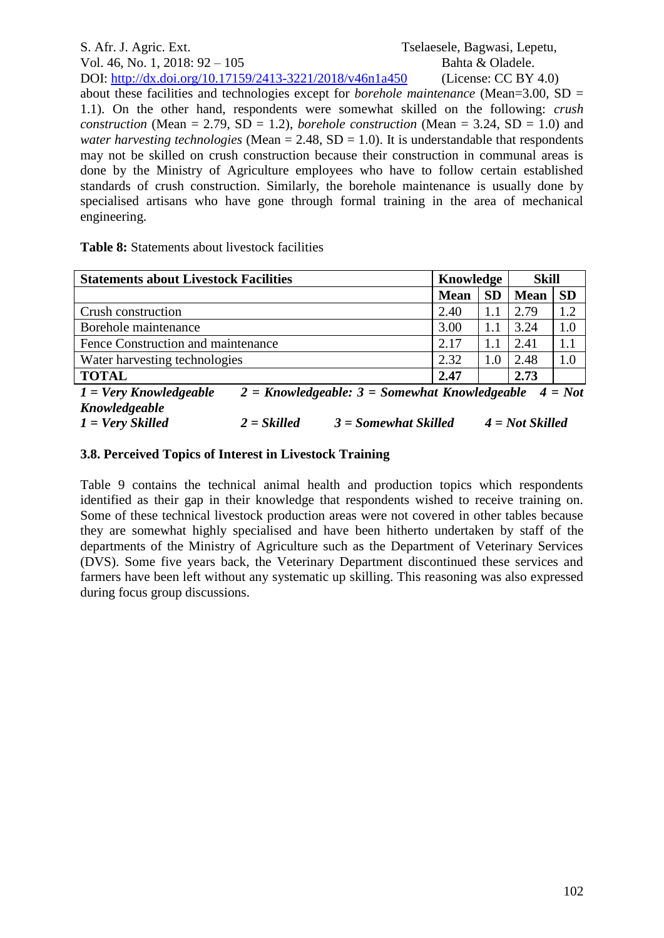S. Afr. J. Agric. Ext. Tselaesele, Bagwasi, Lepetu, Vol. 46, No. 1, 2018: 92 – 105 Bahta & Oladele. DOI: <http://dx.doi.org/10.17159/2413-3221/2018/v46n1a450> (License: CC BY 4.0) about these facilities and technologies except for *borehole maintenance* (Mean=3.00, SD = 1.1). On the other hand, respondents were somewhat skilled on the following: *crush construction* (Mean = 2.79, SD = 1.2), *borehole construction* (Mean = 3.24, SD = 1.0) and *water harvesting technologies* (Mean  $= 2.48$ , SD  $= 1.0$ ). It is understandable that respondents may not be skilled on crush construction because their construction in communal areas is done by the Ministry of Agriculture employees who have to follow certain established standards of crush construction. Similarly, the borehole maintenance is usually done by specialised artisans who have gone through formal training in the area of mechanical engineering.

**Table 8:** Statements about livestock facilities

| <b>Statements about Livestock Facilities</b> |               | Knowledge                                         |             | <b>Skill</b> |                   |           |
|----------------------------------------------|---------------|---------------------------------------------------|-------------|--------------|-------------------|-----------|
|                                              |               |                                                   | <b>Mean</b> | <b>SD</b>    | <b>Mean</b>       | <b>SD</b> |
| Crush construction                           |               |                                                   | 2.40        | 1.1          | 2.79              | 1.2       |
| Borehole maintenance                         |               |                                                   | 3.00        | 1.1          | 3.24              | 1.0       |
| Fence Construction and maintenance           |               |                                                   | 2.17        | 1.1          | 2.41              | 1.1       |
| Water harvesting technologies                |               |                                                   | 2.32        | 1.0          | 2.48              | 1.0       |
| <b>TOTAL</b>                                 |               |                                                   | 2.47        |              | 2.73              |           |
| $1 = \n    Very Knowledgeable$               |               | $2 =$ Knowledgeable: $3 =$ Somewhat Knowledgeable |             |              |                   | $4 = Not$ |
| Knowledgeable                                |               |                                                   |             |              |                   |           |
| $1 = V$ ery Skilled                          | $2 = Skilled$ | $3 = Somewhat$ Skilled                            |             |              | $4 = Not$ Skilled |           |

# **3.8. Perceived Topics of Interest in Livestock Training**

Table 9 contains the technical animal health and production topics which respondents identified as their gap in their knowledge that respondents wished to receive training on. Some of these technical livestock production areas were not covered in other tables because they are somewhat highly specialised and have been hitherto undertaken by staff of the departments of the Ministry of Agriculture such as the Department of Veterinary Services (DVS). Some five years back, the Veterinary Department discontinued these services and farmers have been left without any systematic up skilling. This reasoning was also expressed during focus group discussions.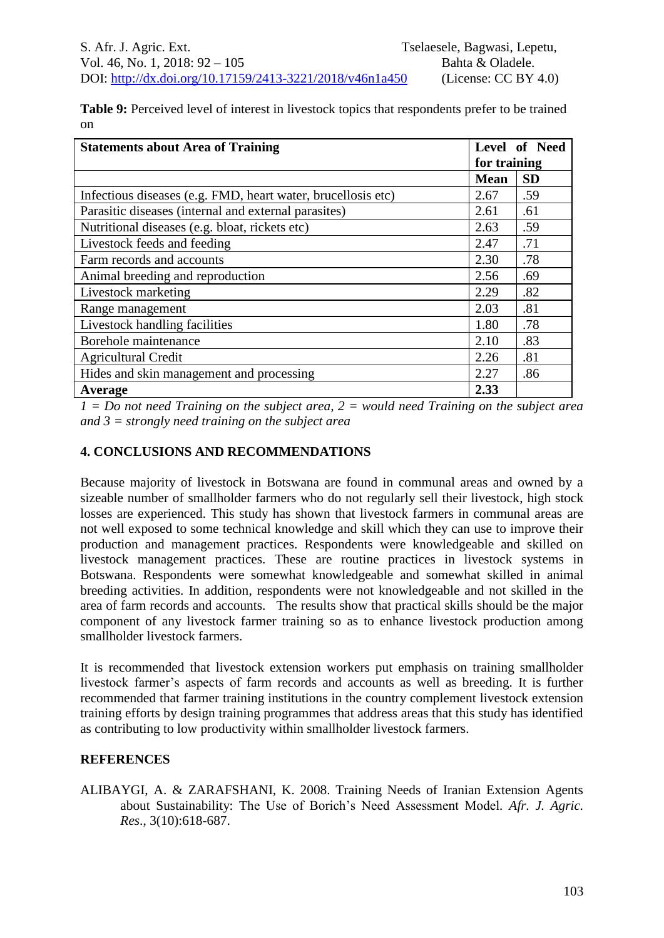**Table 9:** Perceived level of interest in livestock topics that respondents prefer to be trained on

| <b>Statements about Area of Training</b>                     |              | Level of Need |
|--------------------------------------------------------------|--------------|---------------|
|                                                              | for training |               |
|                                                              | <b>Mean</b>  | <b>SD</b>     |
| Infectious diseases (e.g. FMD, heart water, brucellosis etc) | 2.67         | .59           |
| Parasitic diseases (internal and external parasites)         | 2.61         | .61           |
| Nutritional diseases (e.g. bloat, rickets etc)               | 2.63         | .59           |
| Livestock feeds and feeding                                  | 2.47         | .71           |
| Farm records and accounts                                    | 2.30         | .78           |
| Animal breeding and reproduction                             | 2.56         | .69           |
| Livestock marketing                                          | 2.29         | .82           |
| Range management                                             | 2.03         | .81           |
| Livestock handling facilities                                | 1.80         | .78           |
| Borehole maintenance                                         | 2.10         | .83           |
| <b>Agricultural Credit</b>                                   | 2.26         | .81           |
| Hides and skin management and processing                     | 2.27         | .86           |
| Average                                                      | 2.33         |               |

*1 = Do not need Training on the subject area, 2 = would need Training on the subject area and 3 = strongly need training on the subject area*

### **4. CONCLUSIONS AND RECOMMENDATIONS**

Because majority of livestock in Botswana are found in communal areas and owned by a sizeable number of smallholder farmers who do not regularly sell their livestock, high stock losses are experienced. This study has shown that livestock farmers in communal areas are not well exposed to some technical knowledge and skill which they can use to improve their production and management practices. Respondents were knowledgeable and skilled on livestock management practices. These are routine practices in livestock systems in Botswana. Respondents were somewhat knowledgeable and somewhat skilled in animal breeding activities. In addition, respondents were not knowledgeable and not skilled in the area of farm records and accounts. The results show that practical skills should be the major component of any livestock farmer training so as to enhance livestock production among smallholder livestock farmers.

It is recommended that livestock extension workers put emphasis on training smallholder livestock farmer's aspects of farm records and accounts as well as breeding. It is further recommended that farmer training institutions in the country complement livestock extension training efforts by design training programmes that address areas that this study has identified as contributing to low productivity within smallholder livestock farmers.

## **REFERENCES**

ALIBAYGI, A. & ZARAFSHANI, K. 2008. Training Needs of Iranian Extension Agents about Sustainability: The Use of Borich's Need Assessment Model*. Afr. J. Agric. Res*., 3(10):618-687.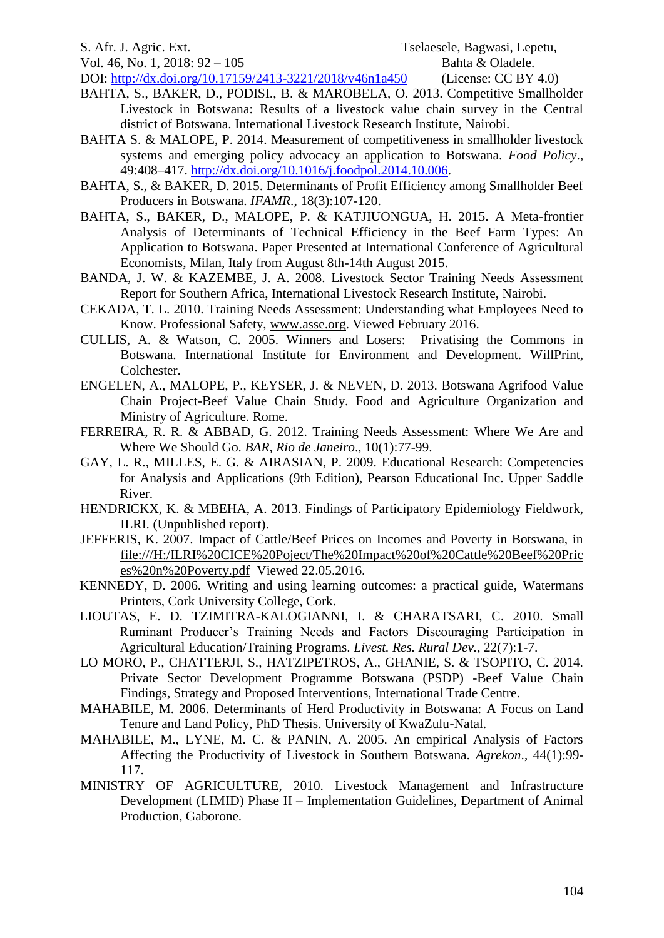Vol. 46, No. 1, 2018: 92 – 105 Bahta & Oladele.

DOI: <http://dx.doi.org/10.17159/2413-3221/2018/v46n1a450> (License: CC BY 4.0)

- BAHTA, S., BAKER, D., PODISI., B. & MAROBELA, O. 2013. Competitive Smallholder Livestock in Botswana: Results of a livestock value chain survey in the Central district of Botswana. International Livestock Research Institute, Nairobi.
- BAHTA S. & MALOPE, P. 2014. Measurement of competitiveness in smallholder livestock systems and emerging policy advocacy an application to Botswana. *Food Policy*., 49:408–417. [http://dx.doi.org/10.1016/j.foodpol.2014.10.006.](http://dx.doi.org/10.1016/j.foodpol.2014.10.006)
- BAHTA, S., & BAKER, D. 2015. Determinants of Profit Efficiency among Smallholder Beef Producers in Botswana. *IFAMR*., 18(3):107-120.
- BAHTA, S., BAKER, D., MALOPE, P. & KATJIUONGUA, H. 2015. A Meta-frontier Analysis of Determinants of Technical Efficiency in the Beef Farm Types: An Application to Botswana. Paper Presented at International Conference of Agricultural Economists, Milan, Italy from August 8th-14th August 2015.
- BANDA, J. W. & KAZEMBE, J. A. 2008. Livestock Sector Training Needs Assessment Report for Southern Africa, International Livestock Research Institute, Nairobi.
- CEKADA, T. L. 2010. Training Needs Assessment: Understanding what Employees Need to Know. Professional Safety, [www.asse.org.](http://www.asse.org/) Viewed February 2016.
- CULLIS, A. & Watson, C. 2005. Winners and Losers: Privatising the Commons in Botswana. International Institute for Environment and Development. WillPrint, Colchester.
- ENGELEN, A., MALOPE, P., KEYSER, J. & NEVEN, D. 2013. Botswana Agrifood Value Chain Project-Beef Value Chain Study. Food and Agriculture Organization and Ministry of Agriculture. Rome.
- FERREIRA, R. R. & ABBAD, G. 2012. Training Needs Assessment: Where We Are and Where We Should Go. *BAR, Rio de Janeiro*., 10(1):77-99.
- GAY, L. R., MILLES, E. G. & AIRASIAN, P. 2009. Educational Research: Competencies for Analysis and Applications (9th Edition), Pearson Educational Inc. Upper Saddle River.
- HENDRICKX, K. & MBEHA, A. 2013. Findings of Participatory Epidemiology Fieldwork, ILRI. (Unpublished report).
- JEFFERIS, K. 2007. Impact of Cattle/Beef Prices on Incomes and Poverty in Botswana, in [file:///H:/ILRI%20CICE%20Poject/The%20Impact%20of%20Cattle%20Beef%20Pric](file:///H:/ILRI%20CICE%20Poject/The%20Impact%20of%20Cattle%20Beef%20Prices%20n%20Poverty.pdf) [es%20n%20Poverty.pdf](file:///H:/ILRI%20CICE%20Poject/The%20Impact%20of%20Cattle%20Beef%20Prices%20n%20Poverty.pdf) Viewed 22.05.2016.
- KENNEDY, D. 2006. Writing and using learning outcomes: a practical guide, Watermans Printers, Cork University College, Cork.
- LIOUTAS, E. D. TZIMITRA-KALOGIANNI, I. & CHARATSARI, C. 2010. Small Ruminant Producer's Training Needs and Factors Discouraging Participation in Agricultural Education/Training Programs. *Livest. Res. Rural Dev.,* 22(7):1-7.
- LO MORO, P., CHATTERJI, S., HATZIPETROS, A., GHANIE, S. & TSOPITO, C. 2014. Private Sector Development Programme Botswana (PSDP) -Beef Value Chain Findings, Strategy and Proposed Interventions, International Trade Centre.
- MAHABILE, M. 2006. Determinants of Herd Productivity in Botswana: A Focus on Land Tenure and Land Policy, PhD Thesis. University of KwaZulu-Natal.
- MAHABILE, M., LYNE, M. C. & PANIN, A. 2005. An empirical Analysis of Factors Affecting the Productivity of Livestock in Southern Botswana. *Agrekon*., 44(1):99- 117.
- MINISTRY OF AGRICULTURE, 2010. Livestock Management and Infrastructure Development (LIMID) Phase II – Implementation Guidelines, Department of Animal Production, Gaborone.